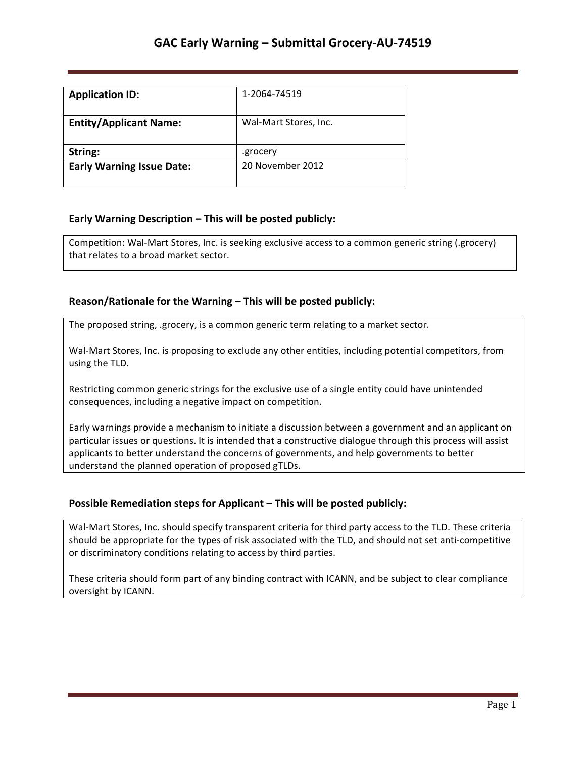| <b>Application ID:</b>           | 1-2064-74519          |
|----------------------------------|-----------------------|
| <b>Entity/Applicant Name:</b>    | Wal-Mart Stores, Inc. |
| String:                          | .grocery              |
| <b>Early Warning Issue Date:</b> | 20 November 2012      |

## **Early Warning Description – This will be posted publicly:**

Competition: Wal-Mart Stores, Inc. is seeking exclusive access to a common generic string (.grocery) that relates to a broad market sector.

## **Reason/Rationale for the Warning – This will be posted publicly:**

The proposed string, .grocery, is a common generic term relating to a market sector.

Wal-Mart Stores, Inc. is proposing to exclude any other entities, including potential competitors, from using the TLD.

Restricting common generic strings for the exclusive use of a single entity could have unintended consequences, including a negative impact on competition.

Early warnings provide a mechanism to initiate a discussion between a government and an applicant on particular issues or questions. It is intended that a constructive dialogue through this process will assist applicants to better understand the concerns of governments, and help governments to better understand the planned operation of proposed gTLDs.

### **Possible Remediation steps for Applicant – This will be posted publicly:**

Wal-Mart Stores, Inc. should specify transparent criteria for third party access to the TLD. These criteria should be appropriate for the types of risk associated with the TLD, and should not set anti-competitive or discriminatory conditions relating to access by third parties.

These criteria should form part of any binding contract with ICANN, and be subject to clear compliance oversight by ICANN.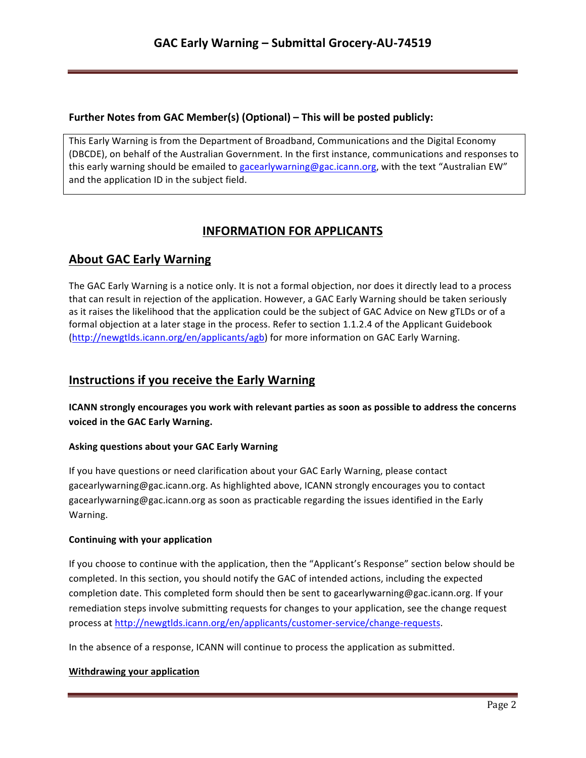## **Further Notes from GAC Member(s) (Optional) – This will be posted publicly:**

This Early Warning is from the Department of Broadband, Communications and the Digital Economy (DBCDE), on behalf of the Australian Government. In the first instance, communications and responses to this early warning should be emailed to gacearlywarning@gac.icann.org, with the text "Australian EW" and the application ID in the subject field.

# **INFORMATION FOR APPLICANTS**

# **About GAC Early Warning**

The GAC Early Warning is a notice only. It is not a formal objection, nor does it directly lead to a process that can result in rejection of the application. However, a GAC Early Warning should be taken seriously as it raises the likelihood that the application could be the subject of GAC Advice on New gTLDs or of a formal objection at a later stage in the process. Refer to section 1.1.2.4 of the Applicant Guidebook (http://newgtlds.icann.org/en/applicants/agb) for more information on GAC Early Warning.

# **Instructions if you receive the Early Warning**

**ICANN** strongly encourages you work with relevant parties as soon as possible to address the concerns voiced in the GAC Early Warning.

### **Asking questions about your GAC Early Warning**

If you have questions or need clarification about your GAC Early Warning, please contact gacearlywarning@gac.icann.org. As highlighted above, ICANN strongly encourages you to contact gacearlywarning@gac.icann.org as soon as practicable regarding the issues identified in the Early Warning. 

### **Continuing with your application**

If you choose to continue with the application, then the "Applicant's Response" section below should be completed. In this section, you should notify the GAC of intended actions, including the expected completion date. This completed form should then be sent to gacearlywarning@gac.icann.org. If your remediation steps involve submitting requests for changes to your application, see the change request process at http://newgtlds.icann.org/en/applicants/customer-service/change-requests.

In the absence of a response, ICANN will continue to process the application as submitted.

### **Withdrawing your application**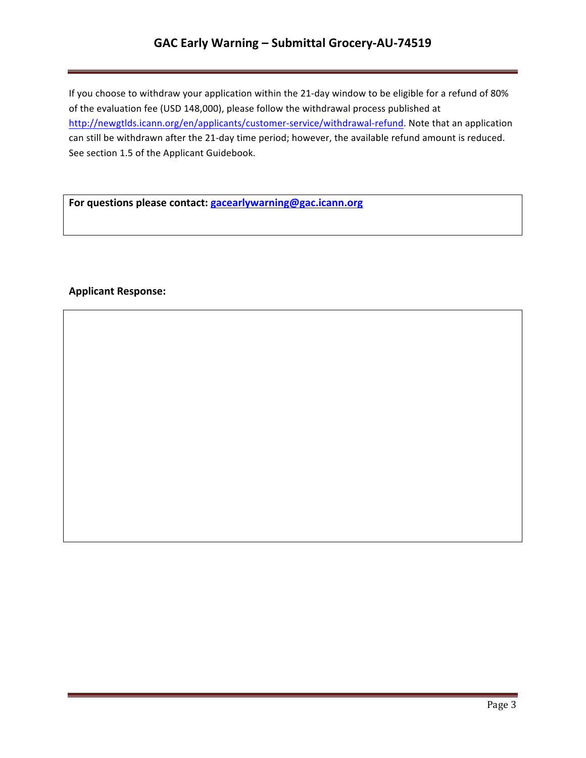# **GAC Early Warning – Submittal Grocery-AU-74519**

If you choose to withdraw your application within the 21-day window to be eligible for a refund of 80% of the evaluation fee (USD 148,000), please follow the withdrawal process published at http://newgtlds.icann.org/en/applicants/customer-service/withdrawal-refund. Note that an application can still be withdrawn after the 21-day time period; however, the available refund amount is reduced. See section 1.5 of the Applicant Guidebook.

For questions please contact: **gacearlywarning@gac.icann.org** 

## **Applicant Response:**